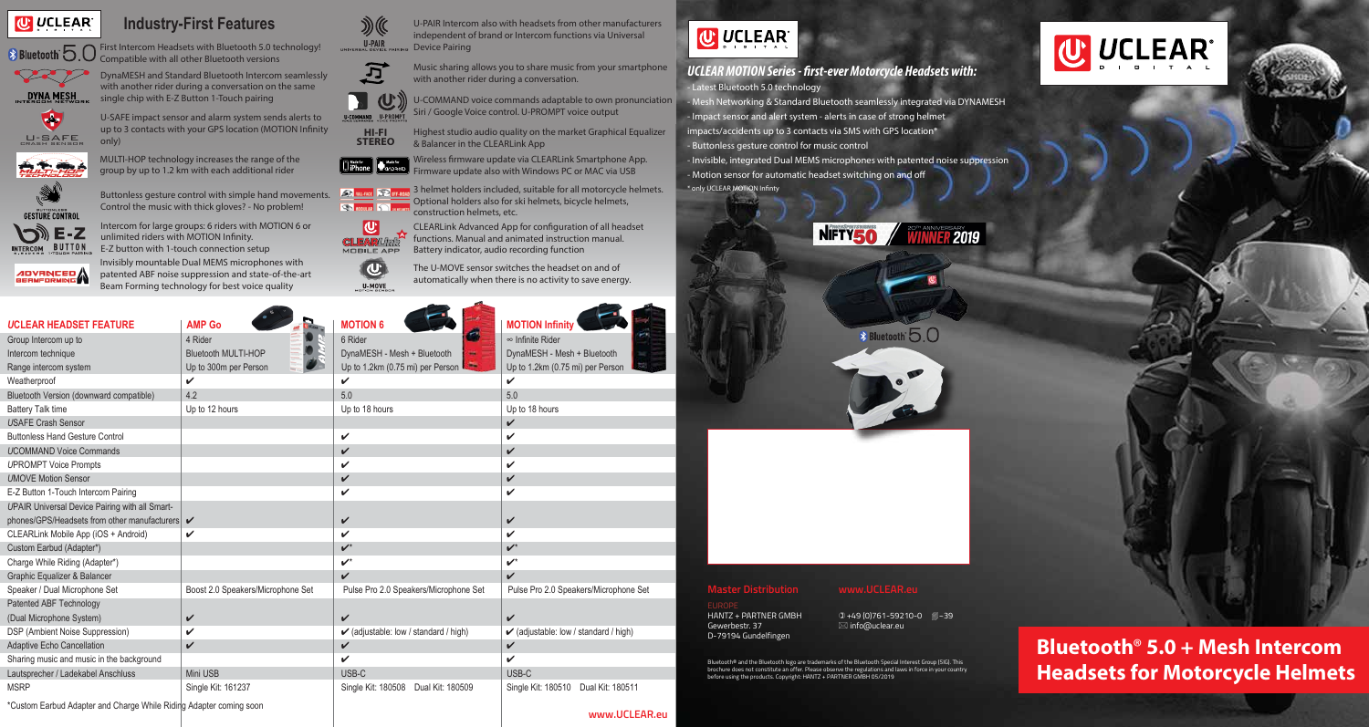**Bluetooth**® **5.0 + Mesh Intercom Headsets for Motorcycle Helmets** 

| <b>UCLEAR HEADSET FEATURE</b>                                       | <b>AMP Go</b>                     | <b>MOTION 6</b>                                  | <b>MOTION Infinity</b>                           |
|---------------------------------------------------------------------|-----------------------------------|--------------------------------------------------|--------------------------------------------------|
| Group Intercom up to                                                | 4 Rider                           | 6 Rider                                          | $\infty$ Infinite Rider                          |
| Intercom technique                                                  | <b>Bluetooth MULTI-HOP</b>        | DynaMESH - Mesh + Bluetooth                      | DynaMESH - Mesh + Bluetooth                      |
| Range intercom system                                               | Up to 300m per Person             | Up to 1.2km (0.75 mi) per Person                 | Up to 1.2km (0.75 mi) per Person                 |
| Weatherproof                                                        | V                                 | ✓                                                | V                                                |
| Bluetooth Version (downward compatible)                             | 4.2                               | 5.0                                              | 5.0                                              |
| <b>Battery Talk time</b>                                            | Up to 12 hours                    | Up to 18 hours                                   | Up to 18 hours                                   |
| <b>USAFE Crash Sensor</b>                                           |                                   |                                                  | V                                                |
| <b>Buttonless Hand Gesture Control</b>                              |                                   | $\checkmark$                                     | V                                                |
| <b>UCOMMAND Voice Commands</b>                                      |                                   | V                                                | V                                                |
| <b>UPROMPT Voice Prompts</b>                                        |                                   | V                                                | V                                                |
| <b>UMOVE Motion Sensor</b>                                          |                                   | $\boldsymbol{\nu}$                               | V                                                |
| E-Z Button 1-Touch Intercom Pairing                                 |                                   | V                                                | V                                                |
| <b>UPAIR Universal Device Pairing with all Smart-</b>               |                                   |                                                  |                                                  |
| phones/GPS/Headsets from other manufacturers v                      |                                   | $\boldsymbol{\nu}$                               | $\checkmark$                                     |
| CLEARLink Mobile App (iOS + Android)                                | V                                 | $\checkmark$                                     | V                                                |
| Custom Earbud (Adapter*)                                            |                                   | $\boldsymbol{\nu}^*$                             | $\boldsymbol{\nu}^*$                             |
| Charge While Riding (Adapter*)                                      |                                   | $\boldsymbol{\nu}^*$                             | $\boldsymbol{\nu}^*$                             |
| Graphic Equalizer & Balancer                                        |                                   | $\mathbf{v}$                                     | V                                                |
| Speaker / Dual Microphone Set                                       | Boost 2.0 Speakers/Microphone Set | Pulse Pro 2.0 Speakers/Microphone Set            | Pulse Pro 2.0 Speakers/Microphone Set            |
| Patented ABF Technology                                             |                                   |                                                  |                                                  |
| (Dual Microphone System)                                            | $\checkmark$                      | $\checkmark$                                     | $\checkmark$                                     |
| DSP (Ambient Noise Suppression)                                     | V                                 | $\checkmark$ (adjustable: low / standard / high) | $\checkmark$ (adjustable: low / standard / high) |
| <b>Adaptive Echo Cancellation</b>                                   | $\checkmark$                      | $\checkmark$                                     | V                                                |
| Sharing music and music in the background                           |                                   | $\checkmark$                                     | V                                                |
| Lautsprecher / Ladekabel Anschluss                                  | Mini USB                          | USB-C                                            | USB-C                                            |
| <b>MSRP</b>                                                         | Single Kit: 161237                | Single Kit: 180508<br>Dual Kit: 180509           | Single Kit: 180510<br>Dual Kit: 180511           |
| *Ourtess Easterd Advantages of Okeans Mikile Didisla Advantages and |                                   |                                                  |                                                  |





#### UCLEAR MOTION Series - first-ever Motorcycle Headsets with: - Latest Bluetooth 5.0 technology

- Invisible, integrated Dual MEMS microphones with patented noise suppression - Motion sensor for automatic headset switching on and off \* only UCLEAR MOTION Infinty





U-PAIR Intercom also with headsets from other manufacturers independent of brand or Intercom functions via Universal Device Pairing

\*Custom Earbud Adapter and Charge While Riding Adapter coming soon

**www.UCLEAR.eu**



- Mesh Networking & Standard Bluetooth seamlessly integrated via DYNAMESH - Impact sensor and alert system - alerts in case of strong helmet impacts/accidents up to 3 contacts via SMS with GPS location\* - Buttonless gesture control for music control

3 helmet holders included, suitable for all motorcycle helmets. Optional holders also for ski helmets, bicycle helmets, construction helmets, etc.

CLEARLink Advanced App for configuration of all headset **CLEARLINE** functions. Manual and animated instruction manual. Battery indicator, audio recording function

Music sharing allows you to share music from your smartphone DynaMESH and Standard Bluetooth Intercom seamlessly<br>DynaMESH and Standard Bluetooth Intercom seamlessly<br>with another rider during a conversation.



with another rider during a conversation on the same single chip with E-Z Button 1-Touch pairing

#### **Master Distribution www.UCLEAR.eu**

Gewerbestr. 37 info@uclear.eu D-79194 Gundelfingen

HANTZ + PARTNER GMBH  $0+49(0)761-59210-0$  2-39

Bluetooth® and the Bluetooth logo are trademarks of the Bluetooth Special Interest Group (SIG). This brochure does not constitute an offer. Please observe the regulations and laws in force in your country before using the products. Copyright: HANTZ + PARTNER GMBH 05/2019





# **Industry-First Features**





First Intercom Headsets with Bluetooth 5.0 technology! Compatible with all other Bluetooth versions



Intercom for large groups: 6 riders with MOTION 6 or unlimited riders with MOTION Infinity. E-Z button with 1-touch connection setup



Invisibly mountable Dual MEMS microphones with



patented ABF noise suppression and state-of-the-art Beam Forming technology for best voice quality



MULTI-HOP technology increases the range of the group by up to 1.2 km with each additional rider



INTERCOM BUTTON

**Street Street** Buttonless gesture control with simple hand movements. Control the music with thick gloves? - No problem! **EXIM** 



Siri / Google Voice control. U-PROMPT voice output Highest studio audio quality on the market Graphical Equalizer

& Balancer in the CLEARLink App



The U-MOVE sensor switches the headset on and of automatically when there is no activity to save energy.

U-SAFE impact sensor and alarm system sends alerts to up to 3 contacts with your GPS location (MOTION Infinity only)







**U** 

MOBILE APP  $\overline{\mathbf{C}}$ 

**U-MOVE**